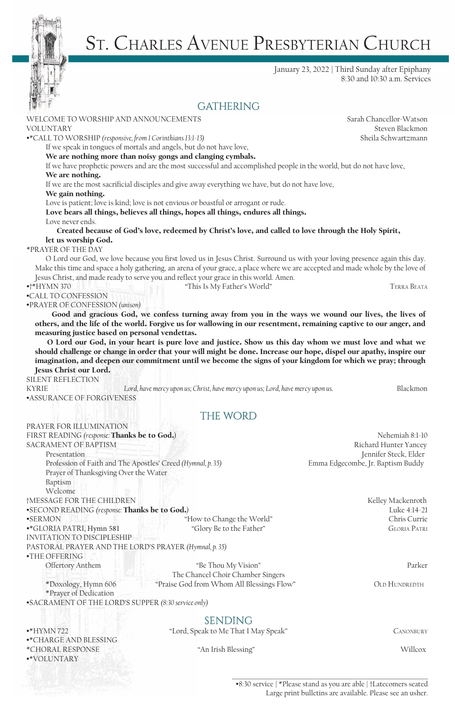

# St. CHARLES AVENUE PRESBYTERIAN CHURCH

January 23, 2022 | Third Sunday after Epiphany 8:30 and 10:30 a.m. Services

### **GATHERING**

| WELCOME TO WORSHIP AND ANNOUNCEMENTS                                         |                                                                                                                                                                                                                                                             | Sarah Chancellor-Watson                        |
|------------------------------------------------------------------------------|-------------------------------------------------------------------------------------------------------------------------------------------------------------------------------------------------------------------------------------------------------------|------------------------------------------------|
| <b>VOLUNTARY</b>                                                             |                                                                                                                                                                                                                                                             | Steven Blackmon                                |
| •*CALL TO WORSHIP (responsive, from 1 Corinthians 13:1-13)                   |                                                                                                                                                                                                                                                             | Sheila Schwartzmann                            |
|                                                                              | If we speak in tongues of mortals and angels, but do not have love,                                                                                                                                                                                         |                                                |
|                                                                              | We are nothing more than noisy gongs and clanging cymbals.                                                                                                                                                                                                  |                                                |
| We are nothing.                                                              | If we have prophetic powers and are the most successful and accomplished people in the world, but do not have love,                                                                                                                                         |                                                |
|                                                                              | If we are the most sacrificial disciples and give away everything we have, but do not have love,                                                                                                                                                            |                                                |
| We gain nothing.                                                             |                                                                                                                                                                                                                                                             |                                                |
|                                                                              | Love is patient; love is kind; love is not envious or boastful or arrogant or rude.                                                                                                                                                                         |                                                |
|                                                                              | Love bears all things, believes all things, hopes all things, endures all things.                                                                                                                                                                           |                                                |
| Love never ends.                                                             |                                                                                                                                                                                                                                                             |                                                |
|                                                                              | Created because of God's love, redeemed by Christ's love, and called to love through the Holy Spirit,                                                                                                                                                       |                                                |
| let us worship God.<br>*PRAYER OF THE DAY                                    |                                                                                                                                                                                                                                                             |                                                |
|                                                                              |                                                                                                                                                                                                                                                             |                                                |
|                                                                              | O Lord our God, we love because you first loved us in Jesus Christ. Surround us with your loving presence again this day.<br>Make this time and space a holy gathering, an arena of your grace, a place where we are accepted and made whole by the love of |                                                |
|                                                                              | Jesus Christ, and made ready to serve you and reflect your grace in this world. Amen.                                                                                                                                                                       |                                                |
| $*+$ HYMN 370                                                                | "This Is My Father's World"                                                                                                                                                                                                                                 | TERRA BEATA                                    |
| •CALL TO CONFESSION                                                          |                                                                                                                                                                                                                                                             |                                                |
| •PRAYER OF CONFESSION (unison)                                               |                                                                                                                                                                                                                                                             |                                                |
|                                                                              | Good and gracious God, we confess turning away from you in the ways we wound our lives, the lives of                                                                                                                                                        |                                                |
|                                                                              | others, and the life of the world. Forgive us for wallowing in our resentment, remaining captive to our anger, and                                                                                                                                          |                                                |
| measuring justice based on personal vendettas.                               |                                                                                                                                                                                                                                                             |                                                |
|                                                                              | O Lord our God, in your heart is pure love and justice. Show us this day whom we must love and what we                                                                                                                                                      |                                                |
|                                                                              | should challenge or change in order that your will might be done. Increase our hope, dispel our apathy, inspire our                                                                                                                                         |                                                |
|                                                                              | imagination, and deepen our commitment until we become the signs of your kingdom for which we pray; through                                                                                                                                                 |                                                |
| Jesus Christ our Lord.                                                       |                                                                                                                                                                                                                                                             |                                                |
|                                                                              |                                                                                                                                                                                                                                                             |                                                |
| SILENT REFLECTION                                                            |                                                                                                                                                                                                                                                             |                                                |
| <b>KYRIE</b>                                                                 | Lord, have mercy upon us; Christ, have mercy upon us; Lord, have mercy upon us.                                                                                                                                                                             | Blackmon                                       |
| <b>•ASSURANCE OF FORGIVENESS</b>                                             |                                                                                                                                                                                                                                                             |                                                |
|                                                                              |                                                                                                                                                                                                                                                             |                                                |
|                                                                              | <b>THE WORD</b>                                                                                                                                                                                                                                             |                                                |
| PRAYER FOR ILLUMINATION                                                      |                                                                                                                                                                                                                                                             |                                                |
| FIRST READING (response: Thanks be to God.)                                  |                                                                                                                                                                                                                                                             | Nehemiah 8:1-10                                |
| SACRAMENT OF BAPTISM<br>Presentation                                         |                                                                                                                                                                                                                                                             | Richard Hunter Yancey<br>Jennifer Steck, Elder |
| Profession of Faith and The Apostles' Creed (Hymnal, p. 35)                  |                                                                                                                                                                                                                                                             | Emma Edgecombe, Jr. Baptism Buddy              |
| Prayer of Thanksgiving Over the Water                                        |                                                                                                                                                                                                                                                             |                                                |
| Baptism                                                                      |                                                                                                                                                                                                                                                             |                                                |
| Welcome                                                                      |                                                                                                                                                                                                                                                             |                                                |
| †MESSAGE FOR THE CHILDREN                                                    |                                                                                                                                                                                                                                                             | Kelley Mackenroth                              |
| •SECOND READING (response: Thanks be to God.)                                |                                                                                                                                                                                                                                                             | Luke 4:14-21                                   |
| ·SERMON                                                                      | "How to Change the World"                                                                                                                                                                                                                                   | Chris Currie                                   |
| •*GLORIA PATRI, Hymn 581                                                     | "Glory Be to the Father"                                                                                                                                                                                                                                    | <b>GLORIA PATRI</b>                            |
| <b>INVITATION TO DISCIPLESHIP</b>                                            |                                                                                                                                                                                                                                                             |                                                |
| PASTORAL PRAYER AND THE LORD'S PRAYER (Hymnal, p. 35)                        |                                                                                                                                                                                                                                                             |                                                |
| •THE OFFERING                                                                |                                                                                                                                                                                                                                                             |                                                |
| Offertory Anthem                                                             | "Be Thou My Vision"                                                                                                                                                                                                                                         | Parker                                         |
|                                                                              | The Chancel Choir Chamber Singers                                                                                                                                                                                                                           |                                                |
| *Doxology, Hymn 606                                                          | "Praise God from Whom All Blessings Flow"                                                                                                                                                                                                                   | <b>OLD HUNDREDTH</b>                           |
| *Prayer of Dedication<br>•SACRAMENT OF THE LORD'S SUPPER (8:30 service only) |                                                                                                                                                                                                                                                             |                                                |
|                                                                              |                                                                                                                                                                                                                                                             |                                                |
|                                                                              | <b>SENDING</b>                                                                                                                                                                                                                                              |                                                |

•\*CHARGE AND BLESSING \*CHORAL RESPONSE "An Irish Blessing" Willcox •\*VOLUNTARY

#### •8:30 service | \*Please stand as you are able | †Latecomers seated Large print bulletins are available. Please see an usher.